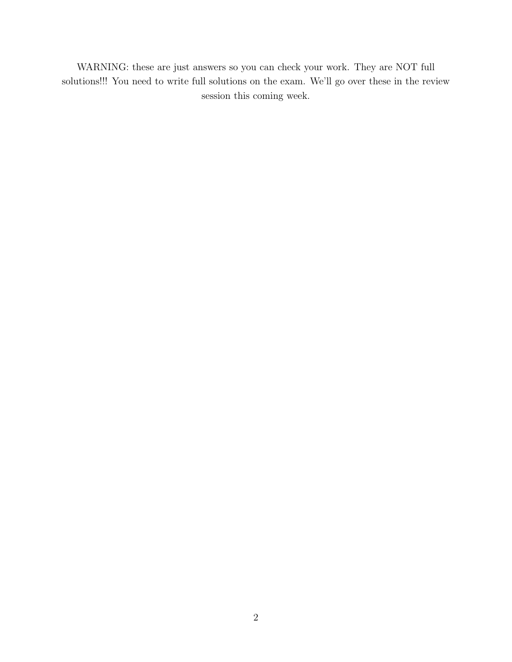WARNING: these are just answers so you can check your work. They are NOT full solutions!!! You need to write full solutions on the exam. We'll go over these in the review session this coming week.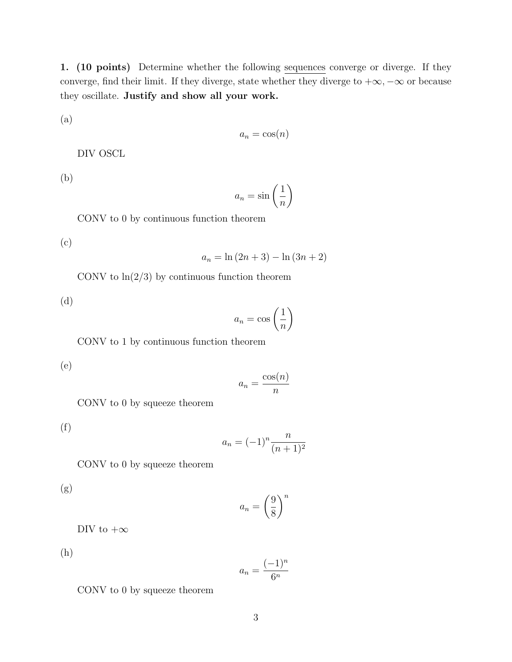1. (10 points) Determine whether the following sequences converge or diverge. If they converge, find their limit. If they diverge, state whether they diverge to  $+\infty, -\infty$  or because they oscillate. Justify and show all your work.

(a)

$$
a_n = \cos(n)
$$

DIV OSCL

(b)

$$
a_n = \sin\left(\frac{1}{n}\right)
$$

CONV to 0 by continuous function theorem

(c)

 $a_n = \ln(2n + 3) - \ln(3n + 2)$ 

CONV to  $\ln(2/3)$  by continuous function theorem

(d) 
$$
a_n = \cos\left(\frac{1}{n}\right)
$$

CONV to 1 by continuous function theorem

(e)

$$
a_n = \frac{\cos(n)}{n}
$$

CONV to 0 by squeeze theorem

(f)

$$
a_n = (-1)^n \frac{n}{(n+1)^2}
$$

CONV to 0 by squeeze theorem

(g)

$$
a_n = \left(\frac{9}{8}\right)^n
$$

DIV to  $+\infty$ 

(h)

$$
a_n = \frac{(-1)^n}{6^n}
$$

CONV to 0 by squeeze theorem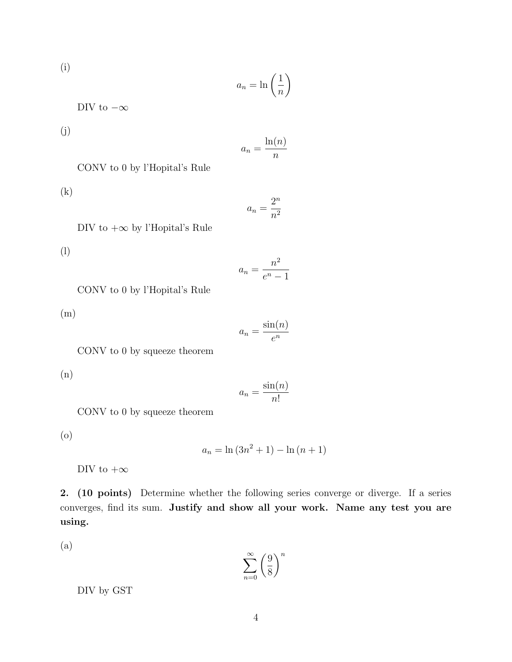(i)  
\n
$$
a_n = \ln\left(\frac{1}{n}\right)
$$
\n
$$
\text{DIV to } -\infty
$$
\n(j)

$$
a_n = \frac{\ln(n)}{n}
$$

CONV to 0 by l'Hopital's Rule

(k)

 $a_n = \frac{2^n}{n^2}$ 

$$
DIV to +\infty by l'Hopital's Rule
$$

(l)

$$
a_n = \frac{n^2}{e^n - 1}
$$

CONV to 0 by l'Hopital's Rule

(m)

$$
a_n = \frac{\sin(n)}{e^n}
$$

CONV to 0 by squeeze theorem

(n)

$$
a_n = \frac{\sin(n)}{n!}
$$

CONV to 0 by squeeze theorem

(o)

 $a_n = \ln(3n^2 + 1) - \ln(n + 1)$ 

DIV to  $+\infty$ 

2. (10 points) Determine whether the following series converge or diverge. If a series converges, find its sum. Justify and show all your work. Name any test you are using.

(a)

 $\sum_{\infty}$ *n*=0  $\sqrt{9}$ 8  $\lambda^{n}$ 

DIV by GST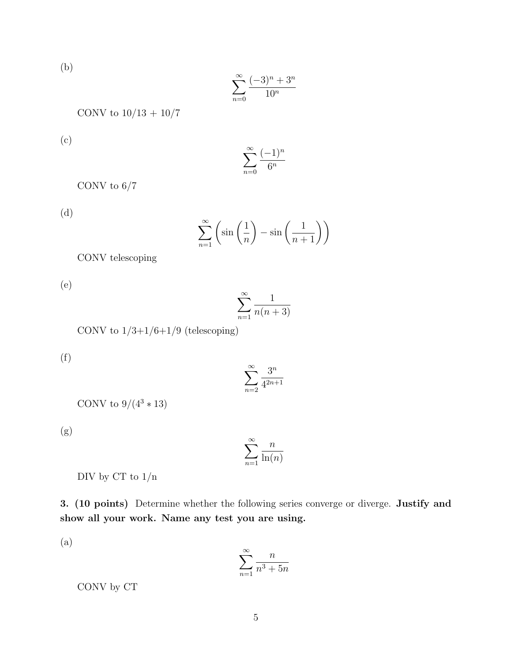(b)

$$
\sum_{n=0}^{\infty} \frac{(-3)^n + 3^n}{10^n}
$$

CONV to  $10/13 + 10/7$ 

(c)

$$
\sum_{n=0}^{\infty} \frac{(-1)^n}{6^n}
$$

CONV to  $6/7$ 

(d)

$$
\sum_{n=1}^{\infty} \left( \sin\left(\frac{1}{n}\right) - \sin\left(\frac{1}{n+1}\right) \right)
$$

CONV telescoping

(e)

$$
\sum_{n=1}^{\infty} \frac{1}{n(n+3)}
$$

CONV to  $1/3+1/6+1/9$  (telescoping)

(f)

$$
\sum_{n=2}^{\infty} \frac{3^n}{4^{2n+1}}
$$

CONV to  $9/(4^3 * 13)$ 

(g)

$$
\sum_{n=1}^{\infty} \frac{n}{\ln(n)}
$$

DIV by CT to  $1/n$ 

3. (10 points) Determine whether the following series converge or diverge. Justify and show all your work. Name any test you are using.

(a)

$$
\sum_{n=1}^{\infty} \frac{n}{n^3 + 5n}
$$

CONV by CT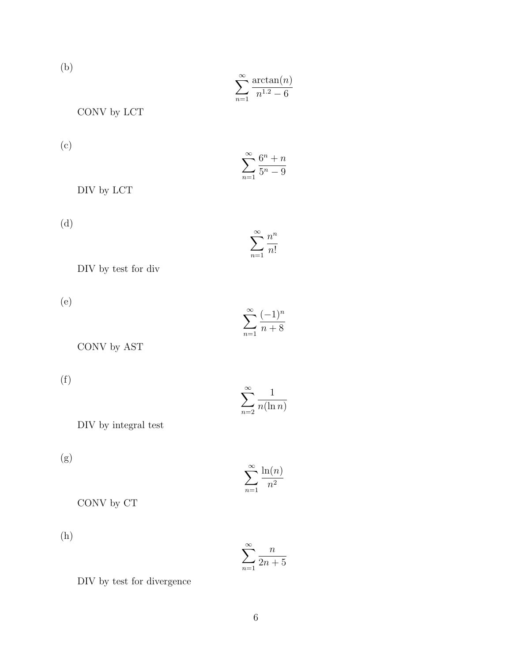(b)

$$
\sum_{n=1}^{\infty} \frac{\arctan(n)}{n^{1.2} - 6}
$$

CONV by LCT

(c)

$$
\sum_{n=1}^{\infty} \frac{6^n + n}{5^n - 9}
$$

DIV by LCT

(d)

$$
\sum_{n=1}^{\infty} \frac{n^n}{n!}
$$

DIV by test for div

(e)

$$
\sum_{n=1}^{\infty} \frac{(-1)^n}{n+8}
$$

CONV by AST

(f)

$$
\sum_{n=2}^{\infty} \frac{1}{n(\ln n)}
$$

DIV by integral test

(g)

$$
\sum_{n=1}^{\infty} \frac{\ln(n)}{n^2}
$$

CONV by CT

(h)

$$
\sum_{n=1}^{\infty} \frac{n}{2n+5}
$$

DIV by test for divergence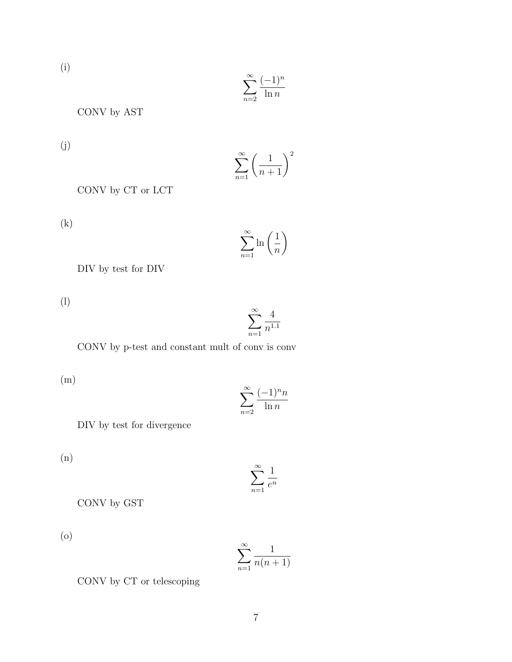(i)

$$
\sum_{n=2}^{\infty} \frac{(-1)^n}{\ln n}
$$

CONV by AST

(j)

$$
\sum_{n=1}^{\infty} \left( \frac{1}{n+1} \right)^2
$$

CONV by CT or LCT

(k)

$$
\sum_{n=1}^{\infty} \ln\left(\frac{1}{n}\right)
$$

DIV by test for DIV

(l)

$$
\sum_{n=1}^\infty \frac{4}{n^{1.1}}
$$

CONV by p-test and constant mult of conv is conv

(m)

$$
\sum_{n=2}^{\infty} \frac{(-1)^n n}{\ln n}
$$

DIV by test for divergence

(n)

$$
\sum_{n=1}^{\infty} \frac{1}{e^n}
$$

CONV by GST

(o)

$$
\sum_{n=1}^{\infty} \frac{1}{n(n+1)}
$$

CONV by CT or telescoping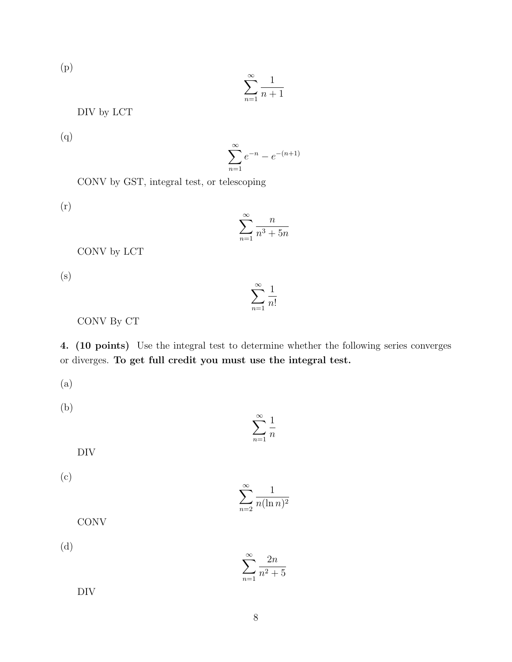(p)

$$
\sum_{n=1}^{\infty} \frac{1}{n+1}
$$

DIV by LCT

(q)

$$
\sum_{n=1}^{\infty} e^{-n} - e^{-(n+1)}
$$

CONV by GST, integral test, or telescoping

(r)

$$
\sum_{n=1}^{\infty} \frac{n}{n^3 + 5n}
$$

CONV by LCT

(s)

$$
\sum_{n=1}^{\infty} \frac{1}{n!}
$$

CONV By CT

4. (10 points) Use the integral test to determine whether the following series converges or diverges. To get full credit you must use the integral test.

(a)

(b)

$$
\sum_{n=1}^{\infty}
$$

DIV

(c)

$$
\sum_{n=2}^{\infty} \frac{1}{n(\ln n)^2}
$$

1 *n*

**CONV** 

(d)

$$
\sum_{n=1}^{\infty} \frac{2n}{n^2 + 5}
$$

DIV